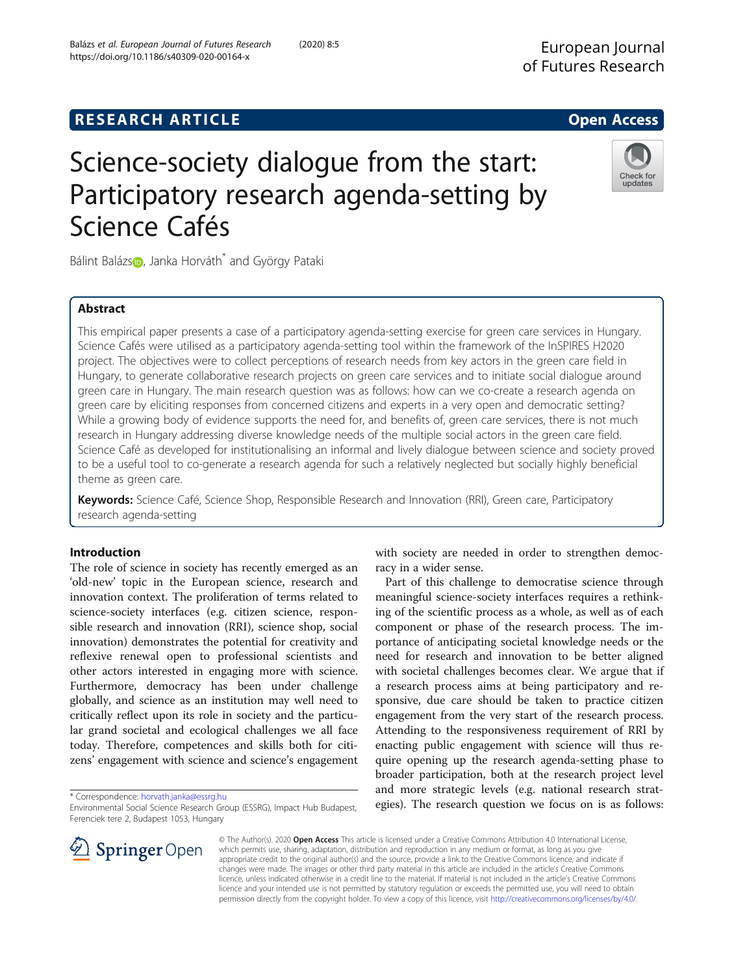## **RESEARCH ARTICLE Example 2018 12:00 Deep Access**

# Science-society dialogue from the start: Participatory research agenda-setting by Science Cafés

Bálint Baláz[s](http://orcid.org/0000-0001-6937-499X)<sub>1</sub>, Janka Horváth<sup>\*</sup> and György Pataki

## Abstract

This empirical paper presents a case of a participatory agenda-setting exercise for green care services in Hungary. Science Cafés were utilised as a participatory agenda-setting tool within the framework of the InSPIRES H2020 project. The objectives were to collect perceptions of research needs from key actors in the green care field in Hungary, to generate collaborative research projects on green care services and to initiate social dialogue around green care in Hungary. The main research question was as follows: how can we co-create a research agenda on green care by eliciting responses from concerned citizens and experts in a very open and democratic setting? While a growing body of evidence supports the need for, and benefits of, green care services, there is not much research in Hungary addressing diverse knowledge needs of the multiple social actors in the green care field. Science Café as developed for institutionalising an informal and lively dialogue between science and society proved to be a useful tool to co-generate a research agenda for such a relatively neglected but socially highly beneficial theme as green care.

Keywords: Science Café, Science Shop, Responsible Research and Innovation (RRI), Green care, Participatory research agenda-setting

## Introduction

The role of science in society has recently emerged as an 'old-new' topic in the European science, research and innovation context. The proliferation of terms related to science-society interfaces (e.g. citizen science, responsible research and innovation (RRI), science shop, social innovation) demonstrates the potential for creativity and reflexive renewal open to professional scientists and other actors interested in engaging more with science. Furthermore, democracy has been under challenge globally, and science as an institution may well need to critically reflect upon its role in society and the particular grand societal and ecological challenges we all face today. Therefore, competences and skills both for citizens' engagement with science and science's engagement

\* Correspondence: [horvath.janka@essrg.hu](mailto:horvath.janka@essrg.hu)

Environmental Social Science Research Group (ESSRG), Impact Hub Budapest, Ferenciek tere 2, Budapest 1053, Hungary

with society are needed in order to strengthen democracy in a wider sense.

Part of this challenge to democratise science through meaningful science-society interfaces requires a rethinking of the scientific process as a whole, as well as of each component or phase of the research process. The importance of anticipating societal knowledge needs or the need for research and innovation to be better aligned with societal challenges becomes clear. We argue that if a research process aims at being participatory and responsive, due care should be taken to practice citizen engagement from the very start of the research process. Attending to the responsiveness requirement of RRI by enacting public engagement with science will thus require opening up the research agenda-setting phase to broader participation, both at the research project level and more strategic levels (e.g. national research strategies). The research question we focus on is as follows:

© The Author(s). 2020 Open Access This article is licensed under a Creative Commons Attribution 4.0 International License, which permits use, sharing, adaptation, distribution and reproduction in any medium or format, as long as you give appropriate credit to the original author(s) and the source, provide a link to the Creative Commons licence, and indicate if changes were made. The images or other third party material in this article are included in the article's Creative Commons licence, unless indicated otherwise in a credit line to the material. If material is not included in the article's Creative Commons licence and your intended use is not permitted by statutory regulation or exceeds the permitted use, you will need to obtain permission directly from the copyright holder. To view a copy of this licence, visit <http://creativecommons.org/licenses/by/4.0/>.





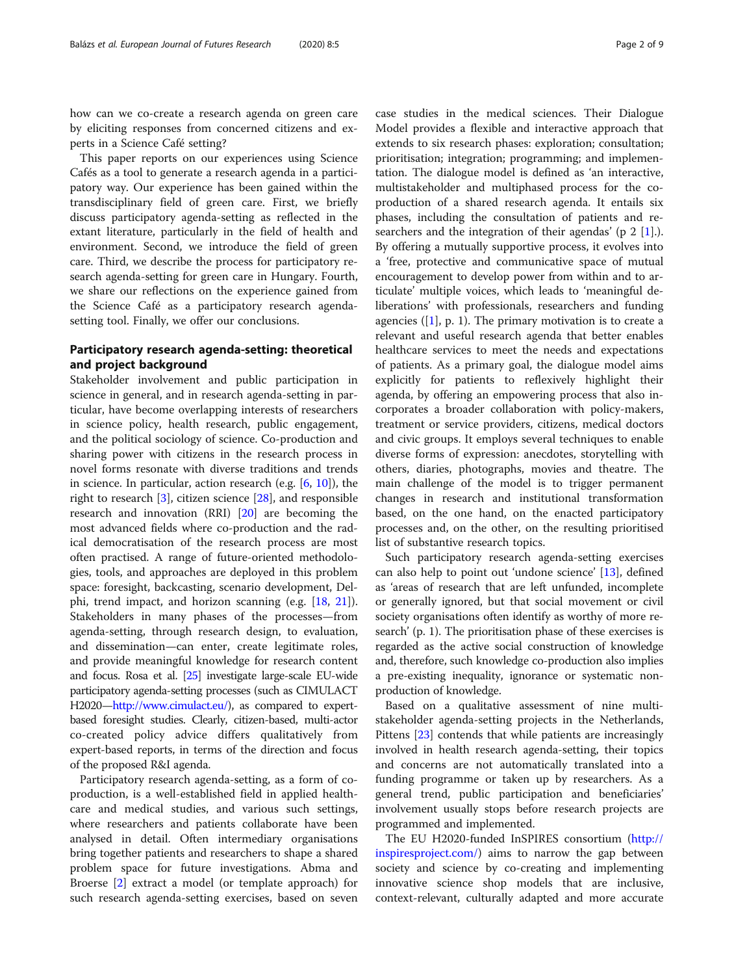how can we co-create a research agenda on green care by eliciting responses from concerned citizens and experts in a Science Café setting?

This paper reports on our experiences using Science Cafés as a tool to generate a research agenda in a participatory way. Our experience has been gained within the transdisciplinary field of green care. First, we briefly discuss participatory agenda-setting as reflected in the extant literature, particularly in the field of health and environment. Second, we introduce the field of green care. Third, we describe the process for participatory research agenda-setting for green care in Hungary. Fourth, we share our reflections on the experience gained from the Science Café as a participatory research agendasetting tool. Finally, we offer our conclusions.

## Participatory research agenda-setting: theoretical and project background

Stakeholder involvement and public participation in science in general, and in research agenda-setting in particular, have become overlapping interests of researchers in science policy, health research, public engagement, and the political sociology of science. Co-production and sharing power with citizens in the research process in novel forms resonate with diverse traditions and trends in science. In particular, action research (e.g. [\[6](#page-7-0), [10](#page-7-0)]), the right to research [\[3](#page-7-0)], citizen science [[28](#page-8-0)], and responsible research and innovation (RRI) [\[20\]](#page-7-0) are becoming the most advanced fields where co-production and the radical democratisation of the research process are most often practised. A range of future-oriented methodologies, tools, and approaches are deployed in this problem space: foresight, backcasting, scenario development, Delphi, trend impact, and horizon scanning (e.g. [\[18,](#page-7-0) [21](#page-7-0)]). Stakeholders in many phases of the processes—from agenda-setting, through research design, to evaluation, and dissemination—can enter, create legitimate roles, and provide meaningful knowledge for research content and focus. Rosa et al. [\[25\]](#page-8-0) investigate large-scale EU-wide participatory agenda-setting processes (such as CIMULACT H2020—[http://www.cimulact.eu/\)](http://www.cimulact.eu/), as compared to expertbased foresight studies. Clearly, citizen-based, multi-actor co-created policy advice differs qualitatively from expert-based reports, in terms of the direction and focus of the proposed R&I agenda.

Participatory research agenda-setting, as a form of coproduction, is a well-established field in applied healthcare and medical studies, and various such settings, where researchers and patients collaborate have been analysed in detail. Often intermediary organisations bring together patients and researchers to shape a shared problem space for future investigations. Abma and Broerse [[2\]](#page-7-0) extract a model (or template approach) for such research agenda-setting exercises, based on seven

case studies in the medical sciences. Their Dialogue Model provides a flexible and interactive approach that extends to six research phases: exploration; consultation; prioritisation; integration; programming; and implementation. The dialogue model is defined as 'an interactive, multistakeholder and multiphased process for the coproduction of a shared research agenda. It entails six phases, including the consultation of patients and researchers and the integration of their agendas' (p  $2 \lfloor 1 \rfloor$ .). By offering a mutually supportive process, it evolves into a 'free, protective and communicative space of mutual encouragement to develop power from within and to articulate' multiple voices, which leads to 'meaningful deliberations' with professionals, researchers and funding agencies ( $[1]$ , p. 1). The primary motivation is to create a relevant and useful research agenda that better enables healthcare services to meet the needs and expectations of patients. As a primary goal, the dialogue model aims explicitly for patients to reflexively highlight their agenda, by offering an empowering process that also incorporates a broader collaboration with policy-makers, treatment or service providers, citizens, medical doctors and civic groups. It employs several techniques to enable diverse forms of expression: anecdotes, storytelling with others, diaries, photographs, movies and theatre. The main challenge of the model is to trigger permanent changes in research and institutional transformation based, on the one hand, on the enacted participatory processes and, on the other, on the resulting prioritised list of substantive research topics.

Such participatory research agenda-setting exercises can also help to point out 'undone science' [[13\]](#page-7-0), defined as 'areas of research that are left unfunded, incomplete or generally ignored, but that social movement or civil society organisations often identify as worthy of more research' (p. 1). The prioritisation phase of these exercises is regarded as the active social construction of knowledge and, therefore, such knowledge co-production also implies a pre-existing inequality, ignorance or systematic nonproduction of knowledge.

Based on a qualitative assessment of nine multistakeholder agenda-setting projects in the Netherlands, Pittens [\[23\]](#page-8-0) contends that while patients are increasingly involved in health research agenda-setting, their topics and concerns are not automatically translated into a funding programme or taken up by researchers. As a general trend, public participation and beneficiaries' involvement usually stops before research projects are programmed and implemented.

The EU H2020-funded InSPIRES consortium [\(http://](http://inspiresproject.com/) [inspiresproject.com/\)](http://inspiresproject.com/) aims to narrow the gap between society and science by co-creating and implementing innovative science shop models that are inclusive, context-relevant, culturally adapted and more accurate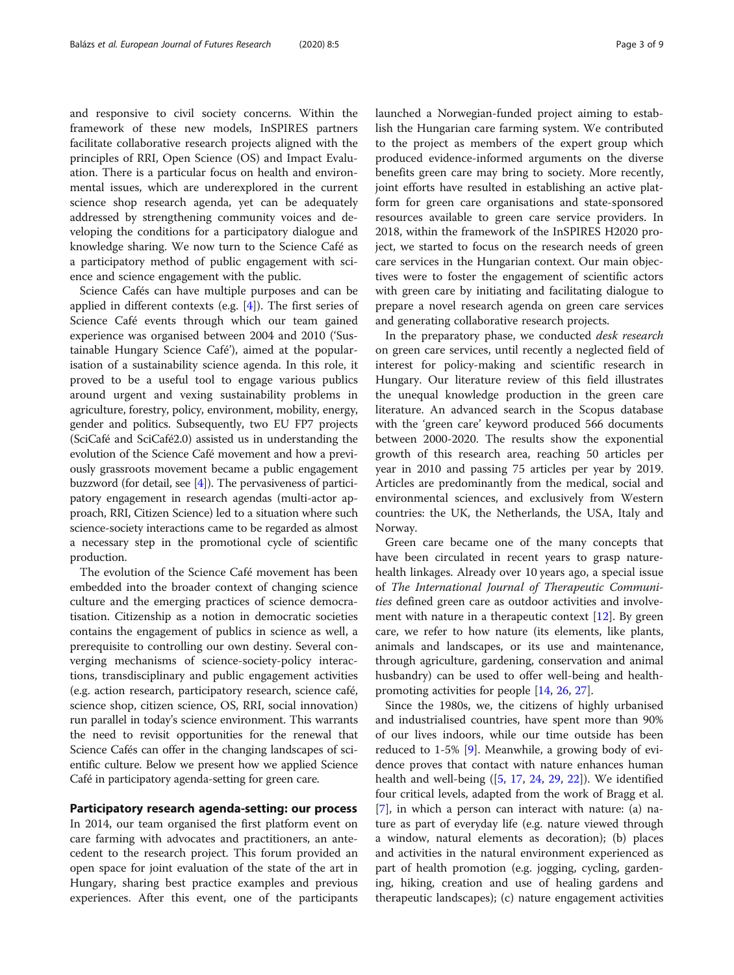and responsive to civil society concerns. Within the framework of these new models, InSPIRES partners facilitate collaborative research projects aligned with the principles of RRI, Open Science (OS) and Impact Evaluation. There is a particular focus on health and environmental issues, which are underexplored in the current science shop research agenda, yet can be adequately addressed by strengthening community voices and developing the conditions for a participatory dialogue and knowledge sharing. We now turn to the Science Café as a participatory method of public engagement with science and science engagement with the public.

Science Cafés can have multiple purposes and can be applied in different contexts (e.g. [\[4](#page-7-0)]). The first series of Science Café events through which our team gained experience was organised between 2004 and 2010 ('Sustainable Hungary Science Café'), aimed at the popularisation of a sustainability science agenda. In this role, it proved to be a useful tool to engage various publics around urgent and vexing sustainability problems in agriculture, forestry, policy, environment, mobility, energy, gender and politics. Subsequently, two EU FP7 projects (SciCafé and SciCafé2.0) assisted us in understanding the evolution of the Science Café movement and how a previously grassroots movement became a public engagement buzzword (for detail, see [\[4](#page-7-0)]). The pervasiveness of participatory engagement in research agendas (multi-actor approach, RRI, Citizen Science) led to a situation where such science-society interactions came to be regarded as almost a necessary step in the promotional cycle of scientific production.

The evolution of the Science Café movement has been embedded into the broader context of changing science culture and the emerging practices of science democratisation. Citizenship as a notion in democratic societies contains the engagement of publics in science as well, a prerequisite to controlling our own destiny. Several converging mechanisms of science-society-policy interactions, transdisciplinary and public engagement activities (e.g. action research, participatory research, science café, science shop, citizen science, OS, RRI, social innovation) run parallel in today's science environment. This warrants the need to revisit opportunities for the renewal that Science Cafés can offer in the changing landscapes of scientific culture. Below we present how we applied Science Café in participatory agenda-setting for green care.

## Participatory research agenda-setting: our process

In 2014, our team organised the first platform event on care farming with advocates and practitioners, an antecedent to the research project. This forum provided an open space for joint evaluation of the state of the art in Hungary, sharing best practice examples and previous experiences. After this event, one of the participants launched a Norwegian-funded project aiming to establish the Hungarian care farming system. We contributed to the project as members of the expert group which produced evidence-informed arguments on the diverse benefits green care may bring to society. More recently, joint efforts have resulted in establishing an active platform for green care organisations and state-sponsored resources available to green care service providers. In 2018, within the framework of the InSPIRES H2020 project, we started to focus on the research needs of green care services in the Hungarian context. Our main objectives were to foster the engagement of scientific actors with green care by initiating and facilitating dialogue to prepare a novel research agenda on green care services and generating collaborative research projects.

In the preparatory phase, we conducted desk research on green care services, until recently a neglected field of interest for policy-making and scientific research in Hungary. Our literature review of this field illustrates the unequal knowledge production in the green care literature. An advanced search in the Scopus database with the 'green care' keyword produced 566 documents between 2000-2020. The results show the exponential growth of this research area, reaching 50 articles per year in 2010 and passing 75 articles per year by 2019. Articles are predominantly from the medical, social and environmental sciences, and exclusively from Western countries: the UK, the Netherlands, the USA, Italy and Norway.

Green care became one of the many concepts that have been circulated in recent years to grasp naturehealth linkages. Already over 10 years ago, a special issue of The International Journal of Therapeutic Communities defined green care as outdoor activities and involvement with nature in a therapeutic context  $[12]$  $[12]$ . By green care, we refer to how nature (its elements, like plants, animals and landscapes, or its use and maintenance, through agriculture, gardening, conservation and animal husbandry) can be used to offer well-being and healthpromoting activities for people [[14,](#page-7-0) [26,](#page-8-0) [27](#page-8-0)].

Since the 1980s, we, the citizens of highly urbanised and industrialised countries, have spent more than 90% of our lives indoors, while our time outside has been reduced to 1-5% [[9\]](#page-7-0). Meanwhile, a growing body of evidence proves that contact with nature enhances human health and well-being ([[5,](#page-7-0) [17](#page-7-0), [24,](#page-8-0) [29](#page-8-0), [22](#page-7-0)]). We identified four critical levels, adapted from the work of Bragg et al. [[7\]](#page-7-0), in which a person can interact with nature: (a) nature as part of everyday life (e.g. nature viewed through a window, natural elements as decoration); (b) places and activities in the natural environment experienced as part of health promotion (e.g. jogging, cycling, gardening, hiking, creation and use of healing gardens and therapeutic landscapes); (c) nature engagement activities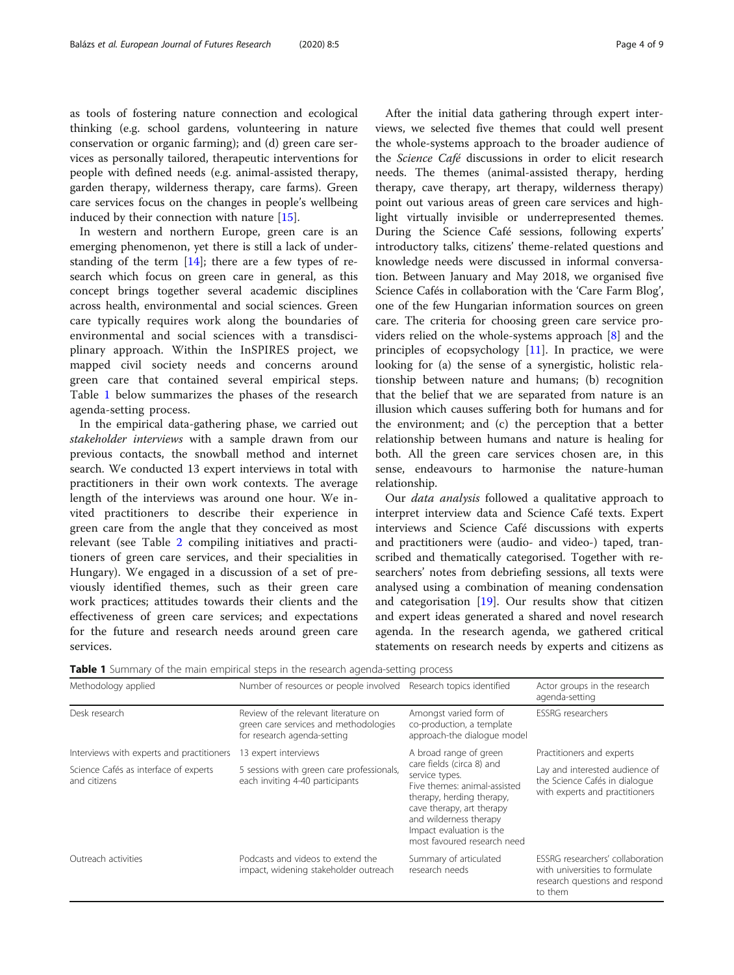as tools of fostering nature connection and ecological thinking (e.g. school gardens, volunteering in nature conservation or organic farming); and (d) green care services as personally tailored, therapeutic interventions for people with defined needs (e.g. animal-assisted therapy, garden therapy, wilderness therapy, care farms). Green care services focus on the changes in people's wellbeing induced by their connection with nature [\[15](#page-7-0)].

In western and northern Europe, green care is an emerging phenomenon, yet there is still a lack of understanding of the term  $[14]$  $[14]$ ; there are a few types of research which focus on green care in general, as this concept brings together several academic disciplines across health, environmental and social sciences. Green care typically requires work along the boundaries of environmental and social sciences with a transdisciplinary approach. Within the InSPIRES project, we mapped civil society needs and concerns around green care that contained several empirical steps. Table 1 below summarizes the phases of the research agenda-setting process.

In the empirical data-gathering phase, we carried out stakeholder interviews with a sample drawn from our previous contacts, the snowball method and internet search. We conducted 13 expert interviews in total with practitioners in their own work contexts. The average length of the interviews was around one hour. We invited practitioners to describe their experience in green care from the angle that they conceived as most relevant (see Table [2](#page-4-0) compiling initiatives and practitioners of green care services, and their specialities in Hungary). We engaged in a discussion of a set of previously identified themes, such as their green care work practices; attitudes towards their clients and the effectiveness of green care services; and expectations for the future and research needs around green care services.

After the initial data gathering through expert interviews, we selected five themes that could well present the whole-systems approach to the broader audience of the Science Café discussions in order to elicit research needs. The themes (animal-assisted therapy, herding therapy, cave therapy, art therapy, wilderness therapy) point out various areas of green care services and highlight virtually invisible or underrepresented themes. During the Science Café sessions, following experts' introductory talks, citizens' theme-related questions and knowledge needs were discussed in informal conversation. Between January and May 2018, we organised five Science Cafés in collaboration with the 'Care Farm Blog', one of the few Hungarian information sources on green care. The criteria for choosing green care service providers relied on the whole-systems approach [[8\]](#page-7-0) and the principles of ecopsychology [[11](#page-7-0)]. In practice, we were looking for (a) the sense of a synergistic, holistic relationship between nature and humans; (b) recognition that the belief that we are separated from nature is an illusion which causes suffering both for humans and for the environment; and (c) the perception that a better relationship between humans and nature is healing for both. All the green care services chosen are, in this sense, endeavours to harmonise the nature-human relationship.

Our data analysis followed a qualitative approach to interpret interview data and Science Café texts. Expert interviews and Science Café discussions with experts and practitioners were (audio- and video-) taped, transcribed and thematically categorised. Together with researchers' notes from debriefing sessions, all texts were analysed using a combination of meaning condensation and categorisation  $[19]$ . Our results show that citizen and expert ideas generated a shared and novel research agenda. In the research agenda, we gathered critical statements on research needs by experts and citizens as

|  |  |  |  |  |  |  | Table 1 Summary of the main empirical steps in the research agenda-setting process |  |
|--|--|--|--|--|--|--|------------------------------------------------------------------------------------|--|
|--|--|--|--|--|--|--|------------------------------------------------------------------------------------|--|

| Methodology applied                                                                                                                   | Number of resources or people involved Research topics identified                                            |                                                                                                                                                                                                                            | Actor groups in the research<br>agenda-setting                                                                  |
|---------------------------------------------------------------------------------------------------------------------------------------|--------------------------------------------------------------------------------------------------------------|----------------------------------------------------------------------------------------------------------------------------------------------------------------------------------------------------------------------------|-----------------------------------------------------------------------------------------------------------------|
| Desk research                                                                                                                         | Review of the relevant literature on<br>green care services and methodologies<br>for research agenda-setting | Amongst varied form of<br>co-production, a template<br>approach-the dialogue model                                                                                                                                         | <b>ESSRG</b> researchers                                                                                        |
| Interviews with experts and practitioners                                                                                             | 13 expert interviews                                                                                         | A broad range of green                                                                                                                                                                                                     | Practitioners and experts                                                                                       |
| 5 sessions with green care professionals,<br>Science Cafés as interface of experts<br>each inviting 4-40 participants<br>and citizens |                                                                                                              | care fields (circa 8) and<br>service types.<br>Five themes: animal-assisted<br>therapy, herding therapy,<br>cave therapy, art therapy<br>and wilderness therapy<br>Impact evaluation is the<br>most favoured research need | Lay and interested audience of<br>the Science Cafés in dialogue<br>with experts and practitioners               |
| Outreach activities                                                                                                                   | Podcasts and videos to extend the<br>impact, widening stakeholder outreach                                   | Summary of articulated<br>research needs                                                                                                                                                                                   | ESSRG researchers' collaboration<br>with universities to formulate<br>research questions and respond<br>to them |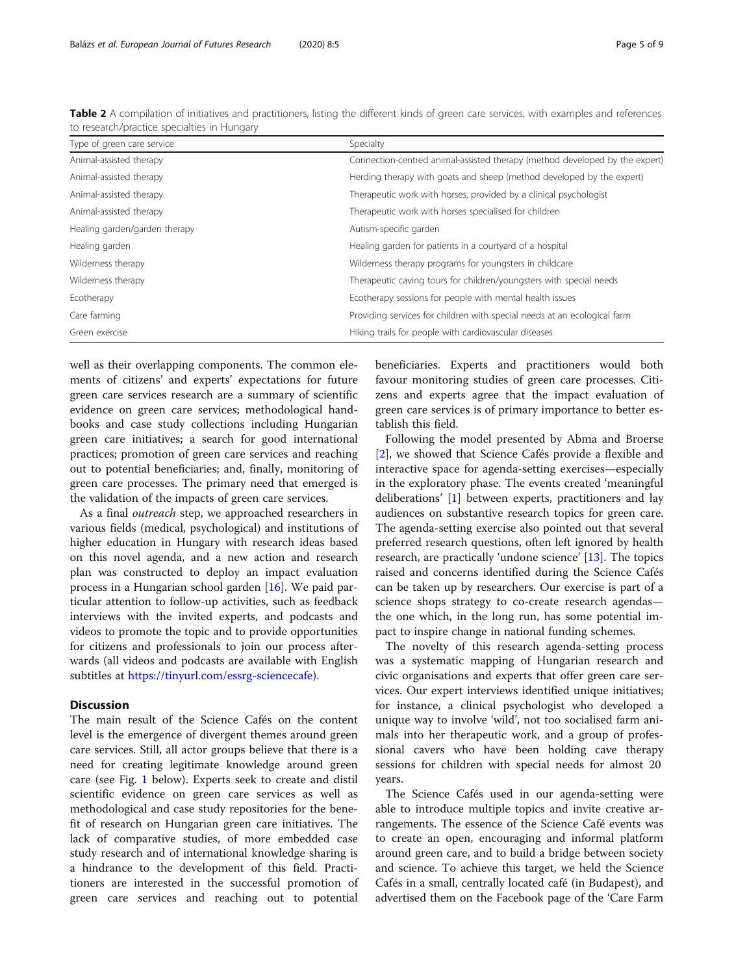<span id="page-4-0"></span>

| Table 2 A compilation of initiatives and practitioners, listing the different kinds of green care services, with examples and references |  |
|------------------------------------------------------------------------------------------------------------------------------------------|--|
| to research/practice specialties in Hungary                                                                                              |  |

| Type of green care service    | Specialty                                                                   |
|-------------------------------|-----------------------------------------------------------------------------|
| Animal-assisted therapy       | Connection-centred animal-assisted therapy (method developed by the expert) |
| Animal-assisted therapy       | Herding therapy with goats and sheep (method developed by the expert)       |
| Animal-assisted therapy       | Therapeutic work with horses, provided by a clinical psychologist           |
| Animal-assisted therapy       | Therapeutic work with horses specialised for children                       |
| Healing garden/garden therapy | Autism-specific garden                                                      |
| Healing garden                | Healing garden for patients in a courtyard of a hospital                    |
| Wilderness therapy            | Wilderness therapy programs for youngsters in childcare                     |
| Wilderness therapy            | Therapeutic caving tours for children/youngsters with special needs         |
| Ecotherapy                    | Ecotherapy sessions for people with mental health issues                    |
| Care farming                  | Providing services for children with special needs at an ecological farm    |
| Green exercise                | Hiking trails for people with cardiovascular diseases                       |

well as their overlapping components. The common elements of citizens' and experts' expectations for future green care services research are a summary of scientific evidence on green care services; methodological handbooks and case study collections including Hungarian green care initiatives; a search for good international practices; promotion of green care services and reaching out to potential beneficiaries; and, finally, monitoring of green care processes. The primary need that emerged is the validation of the impacts of green care services.

As a final outreach step, we approached researchers in various fields (medical, psychological) and institutions of higher education in Hungary with research ideas based on this novel agenda, and a new action and research plan was constructed to deploy an impact evaluation process in a Hungarian school garden [[16\]](#page-7-0). We paid particular attention to follow-up activities, such as feedback interviews with the invited experts, and podcasts and videos to promote the topic and to provide opportunities for citizens and professionals to join our process afterwards (all videos and podcasts are available with English subtitles at [https://tinyurl.com/essrg-sciencecafe\)](https://tinyurl.com/essrg-sciencecafe).

### **Discussion**

The main result of the Science Cafés on the content level is the emergence of divergent themes around green care services. Still, all actor groups believe that there is a need for creating legitimate knowledge around green care (see Fig. [1](#page-5-0) below). Experts seek to create and distil scientific evidence on green care services as well as methodological and case study repositories for the benefit of research on Hungarian green care initiatives. The lack of comparative studies, of more embedded case study research and of international knowledge sharing is a hindrance to the development of this field. Practitioners are interested in the successful promotion of green care services and reaching out to potential beneficiaries. Experts and practitioners would both favour monitoring studies of green care processes. Citizens and experts agree that the impact evaluation of green care services is of primary importance to better establish this field.

Following the model presented by Abma and Broerse [[2\]](#page-7-0), we showed that Science Cafés provide a flexible and interactive space for agenda-setting exercises—especially in the exploratory phase. The events created 'meaningful deliberations' [\[1](#page-7-0)] between experts, practitioners and lay audiences on substantive research topics for green care. The agenda-setting exercise also pointed out that several preferred research questions, often left ignored by health research, are practically 'undone science' [\[13\]](#page-7-0). The topics raised and concerns identified during the Science Cafés can be taken up by researchers. Our exercise is part of a science shops strategy to co-create research agendas the one which, in the long run, has some potential impact to inspire change in national funding schemes.

The novelty of this research agenda-setting process was a systematic mapping of Hungarian research and civic organisations and experts that offer green care services. Our expert interviews identified unique initiatives; for instance, a clinical psychologist who developed a unique way to involve 'wild', not too socialised farm animals into her therapeutic work, and a group of professional cavers who have been holding cave therapy sessions for children with special needs for almost 20 years.

The Science Cafés used in our agenda-setting were able to introduce multiple topics and invite creative arrangements. The essence of the Science Café events was to create an open, encouraging and informal platform around green care, and to build a bridge between society and science. To achieve this target, we held the Science Cafés in a small, centrally located café (in Budapest), and advertised them on the Facebook page of the 'Care Farm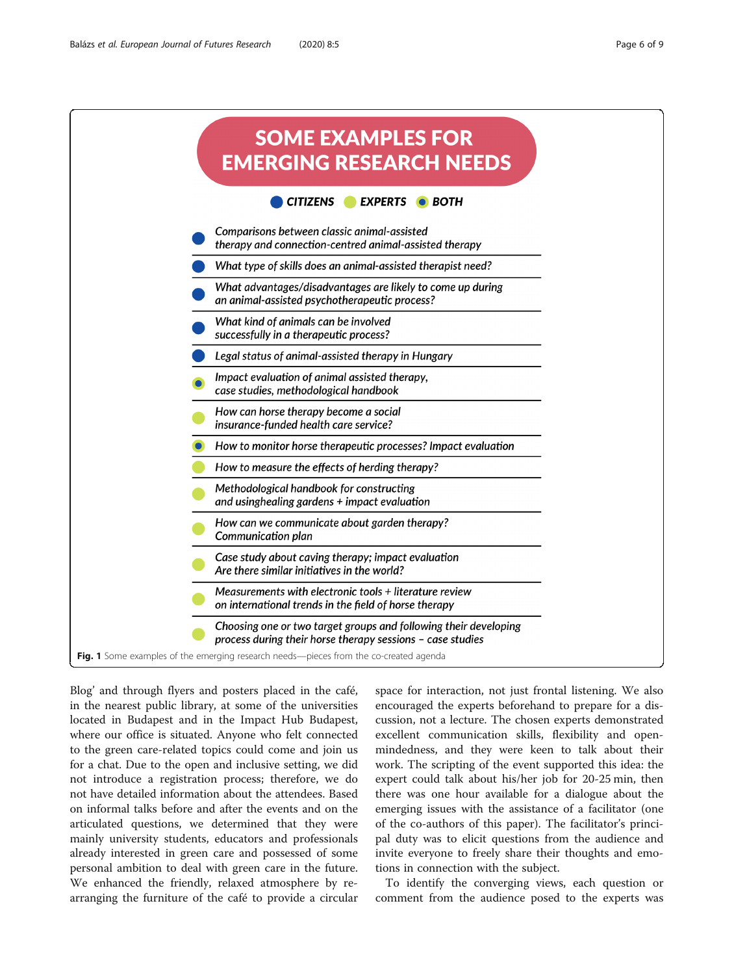<span id="page-5-0"></span>

Blog' and through flyers and posters placed in the café, in the nearest public library, at some of the universities located in Budapest and in the Impact Hub Budapest, where our office is situated. Anyone who felt connected to the green care-related topics could come and join us for a chat. Due to the open and inclusive setting, we did not introduce a registration process; therefore, we do not have detailed information about the attendees. Based on informal talks before and after the events and on the articulated questions, we determined that they were mainly university students, educators and professionals already interested in green care and possessed of some personal ambition to deal with green care in the future. We enhanced the friendly, relaxed atmosphere by rearranging the furniture of the café to provide a circular

space for interaction, not just frontal listening. We also encouraged the experts beforehand to prepare for a discussion, not a lecture. The chosen experts demonstrated excellent communication skills, flexibility and openmindedness, and they were keen to talk about their work. The scripting of the event supported this idea: the expert could talk about his/her job for 20-25 min, then there was one hour available for a dialogue about the emerging issues with the assistance of a facilitator (one of the co-authors of this paper). The facilitator's principal duty was to elicit questions from the audience and invite everyone to freely share their thoughts and emotions in connection with the subject.

To identify the converging views, each question or comment from the audience posed to the experts was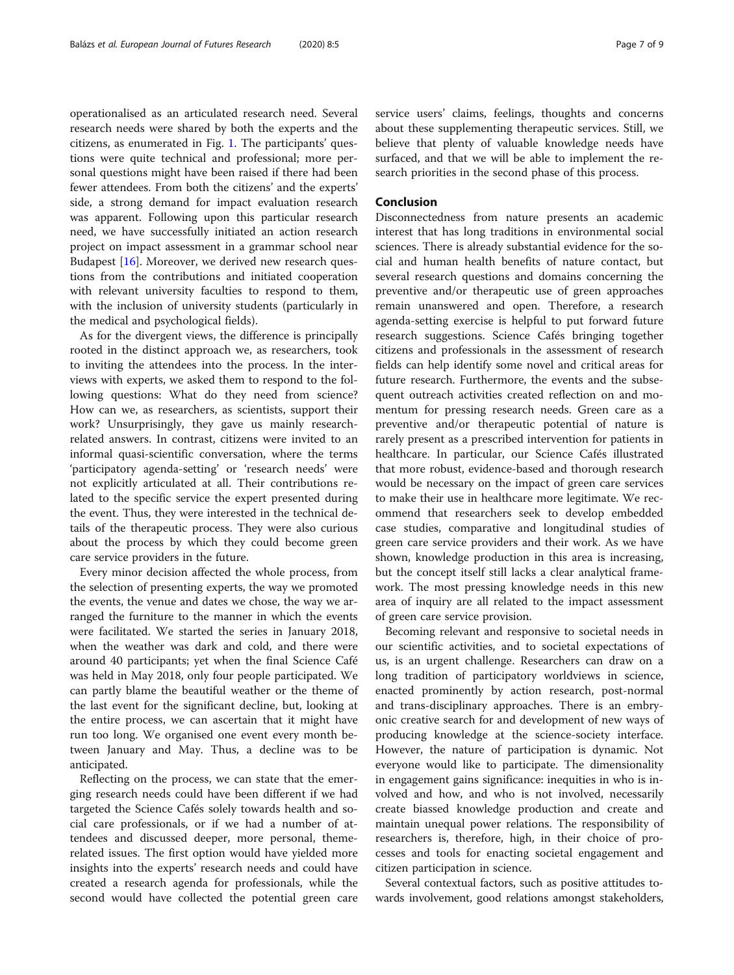operationalised as an articulated research need. Several research needs were shared by both the experts and the citizens, as enumerated in Fig. [1](#page-5-0). The participants' questions were quite technical and professional; more personal questions might have been raised if there had been fewer attendees. From both the citizens' and the experts' side, a strong demand for impact evaluation research was apparent. Following upon this particular research need, we have successfully initiated an action research project on impact assessment in a grammar school near Budapest [\[16](#page-7-0)]. Moreover, we derived new research questions from the contributions and initiated cooperation with relevant university faculties to respond to them, with the inclusion of university students (particularly in the medical and psychological fields).

As for the divergent views, the difference is principally rooted in the distinct approach we, as researchers, took to inviting the attendees into the process. In the interviews with experts, we asked them to respond to the following questions: What do they need from science? How can we, as researchers, as scientists, support their work? Unsurprisingly, they gave us mainly researchrelated answers. In contrast, citizens were invited to an informal quasi-scientific conversation, where the terms 'participatory agenda-setting' or 'research needs' were not explicitly articulated at all. Their contributions related to the specific service the expert presented during the event. Thus, they were interested in the technical details of the therapeutic process. They were also curious about the process by which they could become green care service providers in the future.

Every minor decision affected the whole process, from the selection of presenting experts, the way we promoted the events, the venue and dates we chose, the way we arranged the furniture to the manner in which the events were facilitated. We started the series in January 2018, when the weather was dark and cold, and there were around 40 participants; yet when the final Science Café was held in May 2018, only four people participated. We can partly blame the beautiful weather or the theme of the last event for the significant decline, but, looking at the entire process, we can ascertain that it might have run too long. We organised one event every month between January and May. Thus, a decline was to be anticipated.

Reflecting on the process, we can state that the emerging research needs could have been different if we had targeted the Science Cafés solely towards health and social care professionals, or if we had a number of attendees and discussed deeper, more personal, themerelated issues. The first option would have yielded more insights into the experts' research needs and could have created a research agenda for professionals, while the second would have collected the potential green care service users' claims, feelings, thoughts and concerns about these supplementing therapeutic services. Still, we believe that plenty of valuable knowledge needs have surfaced, and that we will be able to implement the research priorities in the second phase of this process.

## Conclusion

Disconnectedness from nature presents an academic interest that has long traditions in environmental social sciences. There is already substantial evidence for the social and human health benefits of nature contact, but several research questions and domains concerning the preventive and/or therapeutic use of green approaches remain unanswered and open. Therefore, a research agenda-setting exercise is helpful to put forward future research suggestions. Science Cafés bringing together citizens and professionals in the assessment of research fields can help identify some novel and critical areas for future research. Furthermore, the events and the subsequent outreach activities created reflection on and momentum for pressing research needs. Green care as a preventive and/or therapeutic potential of nature is rarely present as a prescribed intervention for patients in healthcare. In particular, our Science Cafés illustrated that more robust, evidence-based and thorough research would be necessary on the impact of green care services to make their use in healthcare more legitimate. We recommend that researchers seek to develop embedded case studies, comparative and longitudinal studies of green care service providers and their work. As we have shown, knowledge production in this area is increasing, but the concept itself still lacks a clear analytical framework. The most pressing knowledge needs in this new area of inquiry are all related to the impact assessment of green care service provision.

Becoming relevant and responsive to societal needs in our scientific activities, and to societal expectations of us, is an urgent challenge. Researchers can draw on a long tradition of participatory worldviews in science, enacted prominently by action research, post-normal and trans-disciplinary approaches. There is an embryonic creative search for and development of new ways of producing knowledge at the science-society interface. However, the nature of participation is dynamic. Not everyone would like to participate. The dimensionality in engagement gains significance: inequities in who is involved and how, and who is not involved, necessarily create biassed knowledge production and create and maintain unequal power relations. The responsibility of researchers is, therefore, high, in their choice of processes and tools for enacting societal engagement and citizen participation in science.

Several contextual factors, such as positive attitudes towards involvement, good relations amongst stakeholders,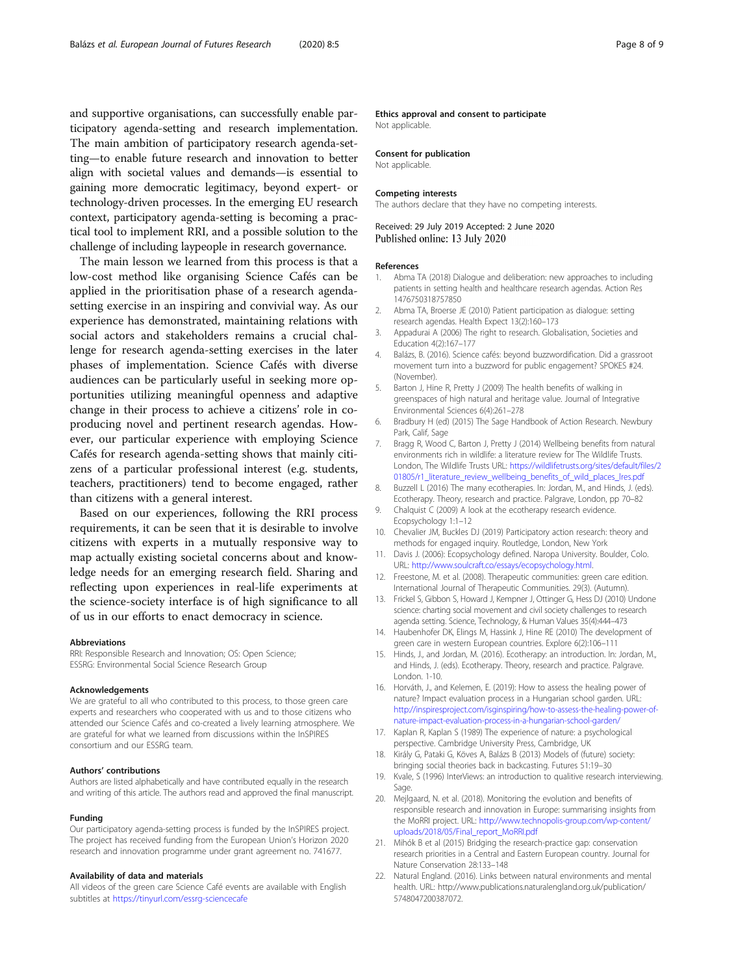<span id="page-7-0"></span>and supportive organisations, can successfully enable participatory agenda-setting and research implementation. The main ambition of participatory research agenda-setting—to enable future research and innovation to better align with societal values and demands—is essential to gaining more democratic legitimacy, beyond expert- or technology-driven processes. In the emerging EU research context, participatory agenda-setting is becoming a practical tool to implement RRI, and a possible solution to the challenge of including laypeople in research governance.

The main lesson we learned from this process is that a low-cost method like organising Science Cafés can be applied in the prioritisation phase of a research agendasetting exercise in an inspiring and convivial way. As our experience has demonstrated, maintaining relations with social actors and stakeholders remains a crucial challenge for research agenda-setting exercises in the later phases of implementation. Science Cafés with diverse audiences can be particularly useful in seeking more opportunities utilizing meaningful openness and adaptive change in their process to achieve a citizens' role in coproducing novel and pertinent research agendas. However, our particular experience with employing Science Cafés for research agenda-setting shows that mainly citizens of a particular professional interest (e.g. students, teachers, practitioners) tend to become engaged, rather than citizens with a general interest.

Based on our experiences, following the RRI process requirements, it can be seen that it is desirable to involve citizens with experts in a mutually responsive way to map actually existing societal concerns about and knowledge needs for an emerging research field. Sharing and reflecting upon experiences in real-life experiments at the science-society interface is of high significance to all of us in our efforts to enact democracy in science.

#### Abbreviations

RRI: Responsible Research and Innovation; OS: Open Science; ESSRG: Environmental Social Science Research Group

#### Acknowledgements

We are grateful to all who contributed to this process, to those green care experts and researchers who cooperated with us and to those citizens who attended our Science Cafés and co-created a lively learning atmosphere. We are grateful for what we learned from discussions within the InSPIRES consortium and our ESSRG team.

#### Authors' contributions

Authors are listed alphabetically and have contributed equally in the research and writing of this article. The authors read and approved the final manuscript.

#### Funding

Our participatory agenda-setting process is funded by the InSPIRES project. The project has received funding from the European Union's Horizon 2020 research and innovation programme under grant agreement no. 741677.

#### Availability of data and materials

All videos of the green care Science Café events are available with English subtitles at <https://tinyurl.com/essrg-sciencecafe>

#### Ethics approval and consent to participate

Not applicable.

#### Consent for publication

Not applicable.

#### Competing interests

The authors declare that they have no competing interests.

#### Received: 29 July 2019 Accepted: 2 June 2020 Published online: 13 July 2020

#### References

- 1. Abma TA (2018) Dialogue and deliberation: new approaches to including patients in setting health and healthcare research agendas. Action Res 1476750318757850
- 2. Abma TA, Broerse JE (2010) Patient participation as dialogue: setting research agendas. Health Expect 13(2):160–173
- 3. Appadurai A (2006) The right to research. Globalisation, Societies and Education 4(2):167–177
- 4. Balázs, B. (2016). Science cafés: beyond buzzwordification. Did a grassroot movement turn into a buzzword for public engagement? SPOKES #24. (November).
- 5. Barton J, Hine R, Pretty J (2009) The health benefits of walking in greenspaces of high natural and heritage value. Journal of Integrative Environmental Sciences 6(4):261–278
- Bradbury H (ed) (2015) The Sage Handbook of Action Research. Newbury Park, Calif, Sage
- 7. Bragg R, Wood C, Barton J, Pretty J (2014) Wellbeing benefits from natural environments rich in wildlife: a literature review for The Wildlife Trusts. London, The Wildlife Trusts URL: [https://wildlifetrusts.org/sites/default/files/2](https://wildlifetrusts.org/sites/default/files/201805/r1_literature_review_wellbeing_benefits_of_wild_places_lres.pdf) [01805/r1\\_literature\\_review\\_wellbeing\\_benefits\\_of\\_wild\\_places\\_lres.pdf](https://wildlifetrusts.org/sites/default/files/201805/r1_literature_review_wellbeing_benefits_of_wild_places_lres.pdf)
- 8. Buzzell L (2016) The many ecotherapies. In: Jordan, M., and Hinds, J. (eds). Ecotherapy. Theory, research and practice. Palgrave, London, pp 70–82
- 9. Chalquist C (2009) A look at the ecotherapy research evidence. Ecopsychology 1:1–12
- 10. Chevalier JM, Buckles DJ (2019) Participatory action research: theory and methods for engaged inquiry. Routledge, London, New York
- 11. Davis J. (2006): Ecopsychology defined. Naropa University. Boulder, Colo. URL: <http://www.soulcraft.co/essays/ecopsychology.html>.
- 12. Freestone, M. et al. (2008). Therapeutic communities: green care edition. International Journal of Therapeutic Communities. 29(3). (Autumn).
- 13. Frickel S, Gibbon S, Howard J, Kempner J, Ottinger G, Hess DJ (2010) Undone science: charting social movement and civil society challenges to research agenda setting. Science, Technology, & Human Values 35(4):444–473
- 14. Haubenhofer DK, Elings M, Hassink J, Hine RE (2010) The development of green care in western European countries. Explore 6(2):106–111
- 15. Hinds, J., and Jordan, M. (2016). Ecotherapy: an introduction. In: Jordan, M., and Hinds, J. (eds). Ecotherapy. Theory, research and practice. Palgrave. London. 1-10.
- 16. Horváth, J., and Kelemen, E. (2019): How to assess the healing power of nature? Impact evaluation process in a Hungarian school garden. URL: [http://inspiresproject.com/isginspiring/how-to-assess-the-healing-power-of](http://inspiresproject.com/isginspiring/how-to-assess-the-healing-power-of-nature-impact-evaluation-process-in-a-hungarian-school-garden/)[nature-impact-evaluation-process-in-a-hungarian-school-garden/](http://inspiresproject.com/isginspiring/how-to-assess-the-healing-power-of-nature-impact-evaluation-process-in-a-hungarian-school-garden/)
- 17. Kaplan R, Kaplan S (1989) The experience of nature: a psychological perspective. Cambridge University Press, Cambridge, UK
- 18. Király G, Pataki G, Köves A, Balázs B (2013) Models of (future) society: bringing social theories back in backcasting. Futures 51:19–30
- 19. Kvale, S (1996) InterViews: an introduction to qualitive research interviewing. Sage
- 20. Mejlgaard, N. et al. (2018). Monitoring the evolution and benefits of responsible research and innovation in Europe: summarising insights from the MoRRI project. URL: [http://www.technopolis-group.com/wp-content/](http://www.technopolis-group.com/wp-content/uploads/2018/05/Final_report_MoRRI.pdf) [uploads/2018/05/Final\\_report\\_MoRRI.pdf](http://www.technopolis-group.com/wp-content/uploads/2018/05/Final_report_MoRRI.pdf)
- 21. Mihók B et al (2015) Bridging the research-practice gap: conservation research priorities in a Central and Eastern European country. Journal for Nature Conservation 28:133–148
- 22. Natural England. (2016). Links between natural environments and mental health. URL: http://www.publications.naturalengland.org.uk/publication/ 5748047200387072.